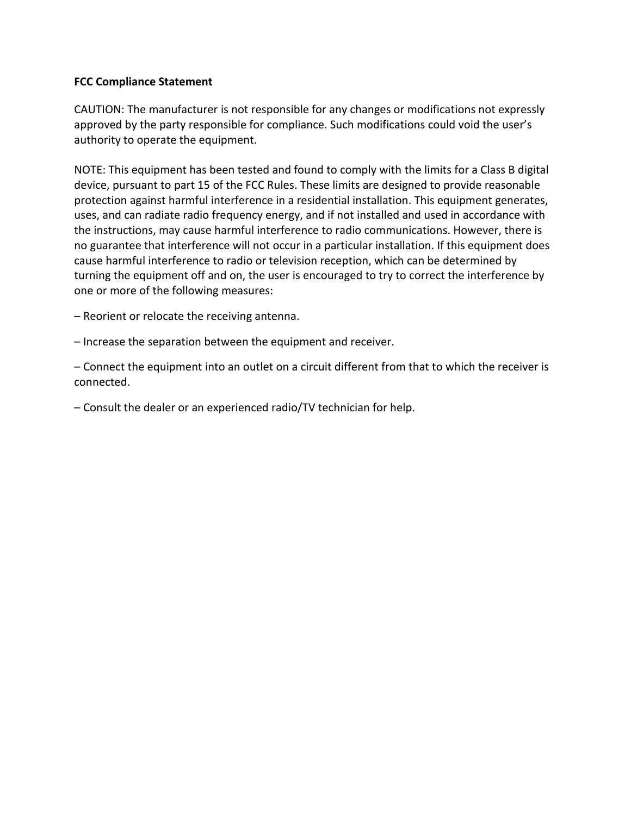## **FCC Compliance Statement**

CAUTION: The manufacturer is not responsible for any changes or modifications not expressly approved by the party responsible for compliance. Such modifications could void the user's authority to operate the equipment.

NOTE: This equipment has been tested and found to comply with the limits for a Class B digital device, pursuant to part 15 of the FCC Rules. These limits are designed to provide reasonable protection against harmful interference in a residential installation. This equipment generates, uses, and can radiate radio frequency energy, and if not installed and used in accordance with the instructions, may cause harmful interference to radio communications. However, there is no guarantee that interference will not occur in a particular installation. If this equipment does cause harmful interference to radio or television reception, which can be determined by turning the equipment off and on, the user is encouraged to try to correct the interference by one or more of the following measures:

– Reorient or relocate the receiving antenna.

– Increase the separation between the equipment and receiver.

– Connect the equipment into an outlet on a circuit different from that to which the receiver is connected.

– Consult the dealer or an experienced radio/TV technician for help.